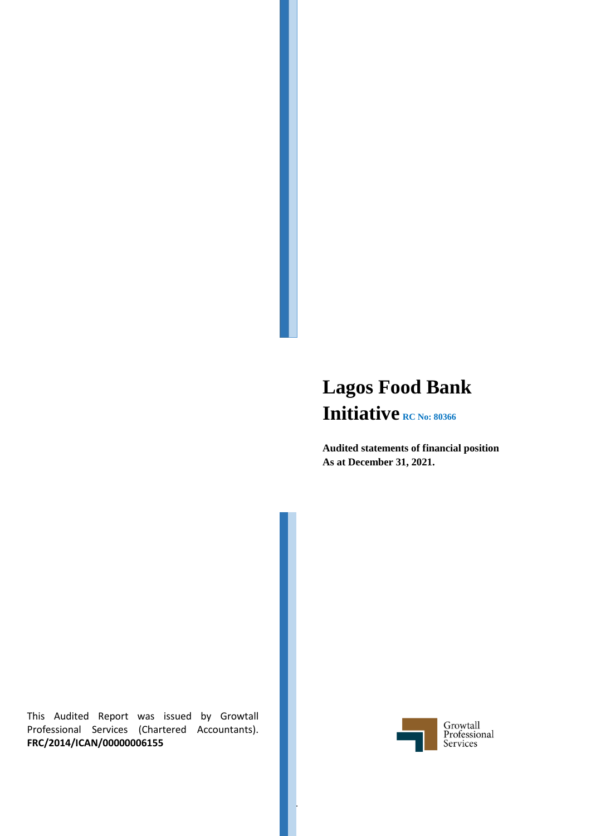# **Lagos Food Bank Initiative RC No: 80366**

**Audited statements of financial position As at December 31, 2021.**

This Audited Report was issued by Growtall Professional Services (Chartered Accountants). **FRC/2014/ICAN/00000006155**



1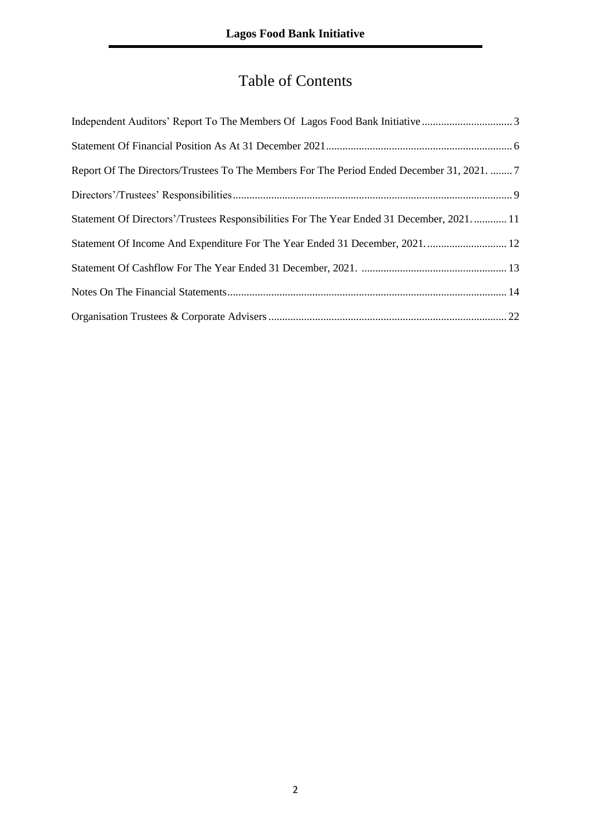# Table of Contents

| Report Of The Directors/Trustees To The Members For The Period Ended December 31, 2021.  7 |  |
|--------------------------------------------------------------------------------------------|--|
|                                                                                            |  |
| Statement Of Directors'/Trustees Responsibilities For The Year Ended 31 December, 2021 11  |  |
| Statement Of Income And Expenditure For The Year Ended 31 December, 2021 12                |  |
|                                                                                            |  |
|                                                                                            |  |
|                                                                                            |  |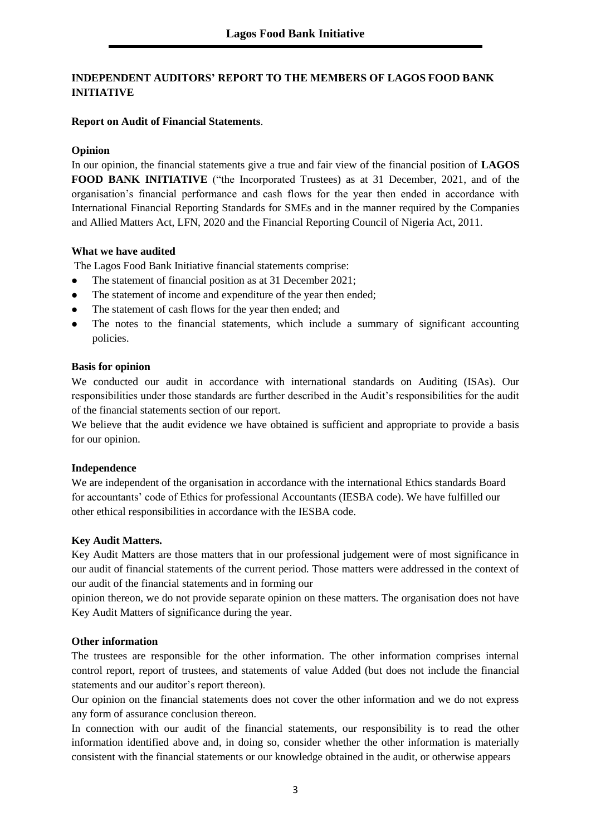# **INDEPENDENT AUDITORS' REPORT TO THE MEMBERS OF LAGOS FOOD BANK INITIATIVE**

# **Report on Audit of Financial Statements**.

# **Opinion**

In our opinion, the financial statements give a true and fair view of the financial position of **LAGOS FOOD BANK INITIATIVE** ("the Incorporated Trustees) as at 31 December, 2021, and of the organisation's financial performance and cash flows for the year then ended in accordance with International Financial Reporting Standards for SMEs and in the manner required by the Companies and Allied Matters Act, LFN, 2020 and the Financial Reporting Council of Nigeria Act, 2011.

# **What we have audited**

The Lagos Food Bank Initiative financial statements comprise:

- The statement of financial position as at 31 December 2021;
- The statement of income and expenditure of the year then ended;
- The statement of cash flows for the year then ended; and
- ⚫ The notes to the financial statements, which include a summary of significant accounting policies.

# **Basis for opinion**

We conducted our audit in accordance with international standards on Auditing (ISAs). Our responsibilities under those standards are further described in the Audit's responsibilities for the audit of the financial statements section of our report.

We believe that the audit evidence we have obtained is sufficient and appropriate to provide a basis for our opinion.

# **Independence**

We are independent of the organisation in accordance with the international Ethics standards Board for accountants' code of Ethics for professional Accountants (IESBA code). We have fulfilled our other ethical responsibilities in accordance with the IESBA code.

# **Key Audit Matters.**

Key Audit Matters are those matters that in our professional judgement were of most significance in our audit of financial statements of the current period. Those matters were addressed in the context of our audit of the financial statements and in forming our

opinion thereon, we do not provide separate opinion on these matters. The organisation does not have Key Audit Matters of significance during the year.

# **Other information**

The trustees are responsible for the other information. The other information comprises internal control report, report of trustees, and statements of value Added (but does not include the financial statements and our auditor's report thereon).

Our opinion on the financial statements does not cover the other information and we do not express any form of assurance conclusion thereon.

In connection with our audit of the financial statements, our responsibility is to read the other information identified above and, in doing so, consider whether the other information is materially consistent with the financial statements or our knowledge obtained in the audit, or otherwise appears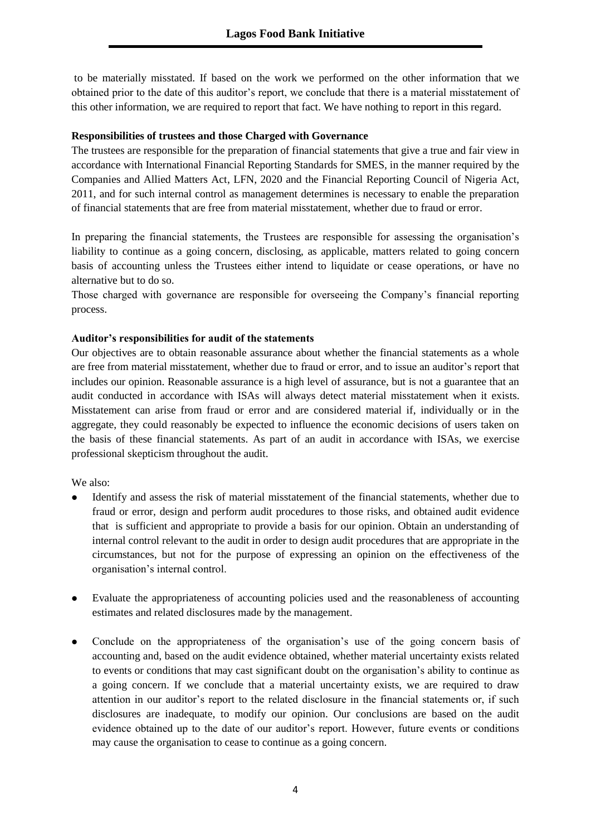to be materially misstated. If based on the work we performed on the other information that we obtained prior to the date of this auditor's report, we conclude that there is a material misstatement of this other information, we are required to report that fact. We have nothing to report in this regard.

#### **Responsibilities of trustees and those Charged with Governance**

The trustees are responsible for the preparation of financial statements that give a true and fair view in accordance with International Financial Reporting Standards for SMES, in the manner required by the Companies and Allied Matters Act, LFN, 2020 and the Financial Reporting Council of Nigeria Act, 2011, and for such internal control as management determines is necessary to enable the preparation of financial statements that are free from material misstatement, whether due to fraud or error.

In preparing the financial statements, the Trustees are responsible for assessing the organisation's liability to continue as a going concern, disclosing, as applicable, matters related to going concern basis of accounting unless the Trustees either intend to liquidate or cease operations, or have no alternative but to do so.

Those charged with governance are responsible for overseeing the Company's financial reporting process.

# **Auditor's responsibilities for audit of the statements**

Our objectives are to obtain reasonable assurance about whether the financial statements as a whole are free from material misstatement, whether due to fraud or error, and to issue an auditor's report that includes our opinion. Reasonable assurance is a high level of assurance, but is not a guarantee that an audit conducted in accordance with ISAs will always detect material misstatement when it exists. Misstatement can arise from fraud or error and are considered material if, individually or in the aggregate, they could reasonably be expected to influence the economic decisions of users taken on the basis of these financial statements. As part of an audit in accordance with ISAs, we exercise professional skepticism throughout the audit.

We also:

- ⚫ Identify and assess the risk of material misstatement of the financial statements, whether due to fraud or error, design and perform audit procedures to those risks, and obtained audit evidence that is sufficient and appropriate to provide a basis for our opinion. Obtain an understanding of internal control relevant to the audit in order to design audit procedures that are appropriate in the circumstances, but not for the purpose of expressing an opinion on the effectiveness of the organisation's internal control.
- ⚫ Evaluate the appropriateness of accounting policies used and the reasonableness of accounting estimates and related disclosures made by the management.
- ⚫ Conclude on the appropriateness of the organisation's use of the going concern basis of accounting and, based on the audit evidence obtained, whether material uncertainty exists related to events or conditions that may cast significant doubt on the organisation's ability to continue as a going concern. If we conclude that a material uncertainty exists, we are required to draw attention in our auditor's report to the related disclosure in the financial statements or, if such disclosures are inadequate, to modify our opinion. Our conclusions are based on the audit evidence obtained up to the date of our auditor's report. However, future events or conditions may cause the organisation to cease to continue as a going concern.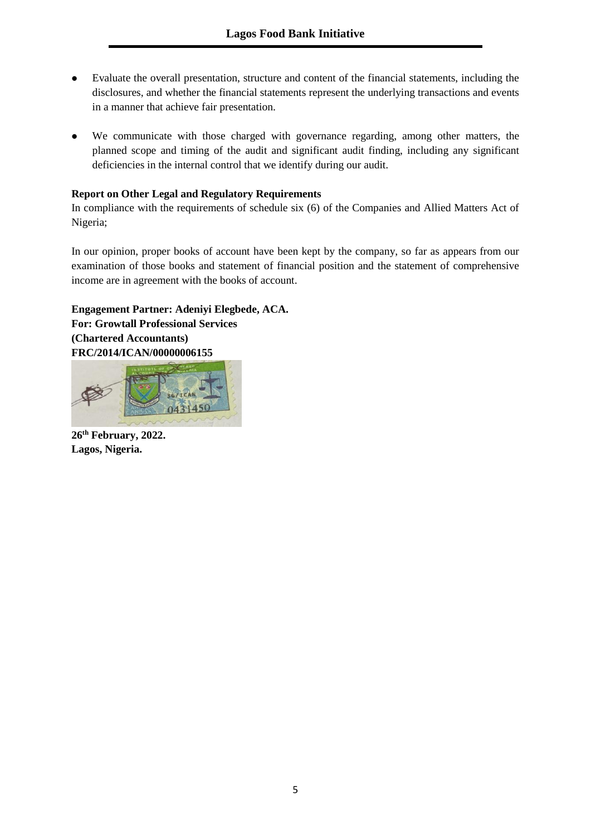- ⚫ Evaluate the overall presentation, structure and content of the financial statements, including the disclosures, and whether the financial statements represent the underlying transactions and events in a manner that achieve fair presentation.
- ⚫ We communicate with those charged with governance regarding, among other matters, the planned scope and timing of the audit and significant audit finding, including any significant deficiencies in the internal control that we identify during our audit.

# **Report on Other Legal and Regulatory Requirements**

In compliance with the requirements of schedule six (6) of the Companies and Allied Matters Act of Nigeria;

In our opinion, proper books of account have been kept by the company, so far as appears from our examination of those books and statement of financial position and the statement of comprehensive income are in agreement with the books of account.

**Engagement Partner: Adeniyi Elegbede, ACA. For: Growtall Professional Services (Chartered Accountants) FRC/2014/ICAN/00000006155** 



**26th February, 2022. Lagos, Nigeria.**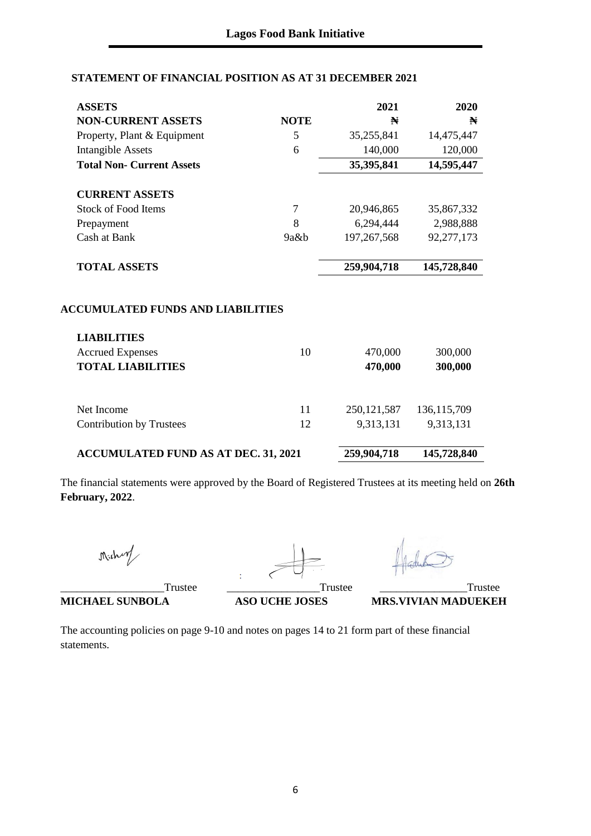# **STATEMENT OF FINANCIAL POSITION AS AT 31 DECEMBER 2021**

| <b>ASSETS</b>                                                  |                | 2021          | 2020          |
|----------------------------------------------------------------|----------------|---------------|---------------|
| <b>NON-CURRENT ASSETS</b>                                      | <b>NOTE</b>    | N             | N             |
| Property, Plant & Equipment                                    | 5              | 35,255,841    | 14,475,447    |
| <b>Intangible Assets</b>                                       | 6              | 140,000       | 120,000       |
| <b>Total Non- Current Assets</b>                               |                | 35,395,841    | 14,595,447    |
| <b>CURRENT ASSETS</b>                                          |                |               |               |
| <b>Stock of Food Items</b>                                     | $\overline{7}$ | 20,946,865    | 35,867,332    |
| Prepayment                                                     | 8              | 6,294,444     | 2,988,888     |
| Cash at Bank                                                   | 9a&b           | 197, 267, 568 | 92,277,173    |
|                                                                |                |               |               |
| <b>TOTAL ASSETS</b>                                            |                | 259,904,718   | 145,728,840   |
| <b>ACCUMULATED FUNDS AND LIABILITIES</b><br><b>LIABILITIES</b> |                |               |               |
| <b>Accrued Expenses</b>                                        | 10             | 470,000       | 300,000       |
| <b>TOTAL LIABILITIES</b>                                       |                | 470,000       | 300,000       |
|                                                                |                |               |               |
| Net Income                                                     | 11             | 250, 121, 587 | 136, 115, 709 |
| <b>Contribution by Trustees</b>                                | 12             | 9,313,131     | 9,313,131     |
| <b>ACCUMULATED FUND AS AT DEC. 31, 2021</b>                    |                | 259,904,718   | 145,728,840   |

The financial statements were approved by the Board of Registered Trustees at its meeting held on **26th February, 2022**.

Michan

\_\_\_\_\_\_\_\_\_\_\_\_\_\_\_\_\_\_\_Trustee \_\_\_\_\_\_\_\_\_\_\_\_\_\_\_\_\_Trustee \_\_\_\_\_\_\_\_\_\_\_\_\_\_\_\_Trustee

The accounting policies on page 9-10 and notes on pages 14 to 21 form part of these financial statements.

**MICHAEL SUNBOLA ASO UCHE JOSES MRS.VIVIAN MADUEKEH**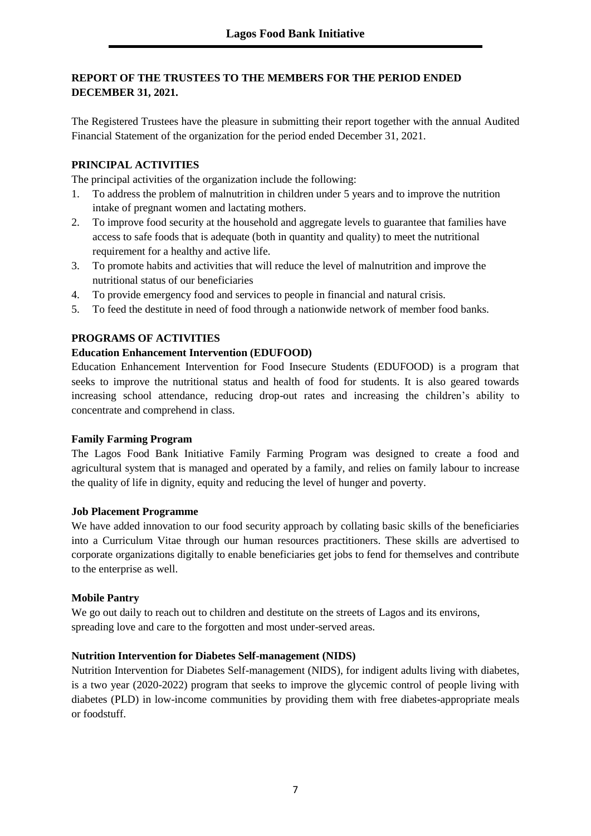# **REPORT OF THE TRUSTEES TO THE MEMBERS FOR THE PERIOD ENDED DECEMBER 31, 2021.**

The Registered Trustees have the pleasure in submitting their report together with the annual Audited Financial Statement of the organization for the period ended December 31, 2021.

# **PRINCIPAL ACTIVITIES**

The principal activities of the organization include the following:

- 1. To address the problem of malnutrition in children under 5 years and to improve the nutrition intake of pregnant women and lactating mothers.
- 2. To improve food security at the household and aggregate levels to guarantee that families have access to safe foods that is adequate (both in quantity and quality) to meet the nutritional requirement for a healthy and active life.
- 3. To promote habits and activities that will reduce the level of malnutrition and improve the nutritional status of our beneficiaries
- 4. To provide emergency food and services to people in financial and natural crisis.
- 5. To feed the destitute in need of food through a nationwide network of member food banks.

#### **PROGRAMS OF ACTIVITIES**

#### **Education Enhancement Intervention (EDUFOOD)**

Education Enhancement Intervention for Food Insecure Students (EDUFOOD) is a program that seeks to improve the nutritional status and health of food for students. It is also geared towards increasing school attendance, reducing drop-out rates and increasing the children's ability to concentrate and comprehend in class.

#### **Family Farming Program**

The Lagos Food Bank Initiative Family Farming Program was designed to create a food and agricultural system that is managed and operated by a family, and relies on family labour to increase the quality of life in dignity, equity and reducing the level of hunger and poverty.

#### **Job Placement Programme**

We have added innovation to our food security approach by collating basic skills of the beneficiaries into a Curriculum Vitae through our human resources practitioners. These skills are advertised to corporate organizations digitally to enable beneficiaries get jobs to fend for themselves and contribute to the enterprise as well.

# **Mobile Pantry**

We go out daily to reach out to children and destitute on the streets of Lagos and its environs, spreading love and care to the forgotten and most under-served areas.

#### **Nutrition Intervention for Diabetes Self-management (NIDS)**

Nutrition Intervention for Diabetes Self-management (NIDS), for indigent adults living with diabetes, is a two year (2020-2022) program that seeks to improve the glycemic control of people living with diabetes (PLD) in low-income communities by providing them with free diabetes-appropriate meals or foodstuff.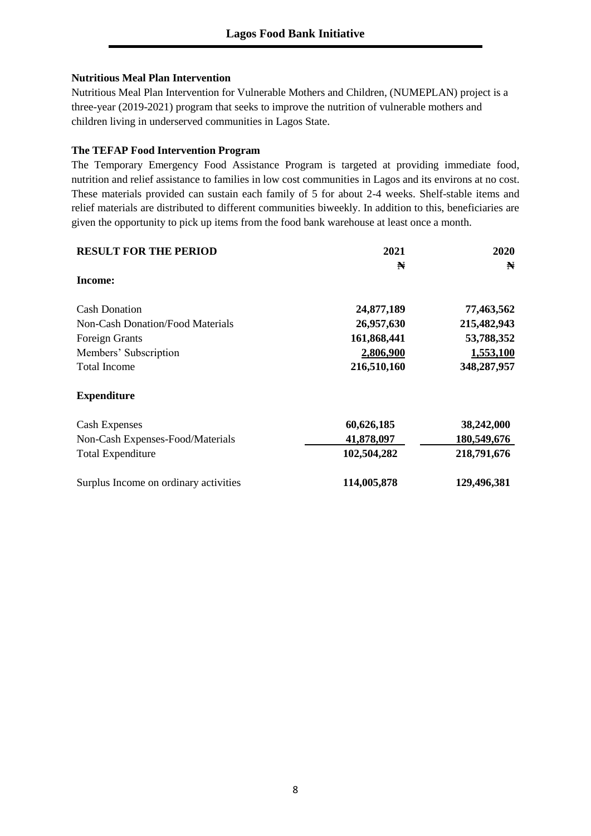# **Nutritious Meal Plan Intervention**

Nutritious Meal Plan Intervention for Vulnerable Mothers and Children, (NUMEPLAN) project is a three-year (2019-2021) program that seeks to improve the nutrition of vulnerable mothers and children living in underserved communities in Lagos State.

# **The TEFAP Food Intervention Program**

The Temporary Emergency Food Assistance Program is targeted at providing immediate food, nutrition and relief assistance to families in low cost communities in Lagos and its environs at no cost. These materials provided can sustain each family of 5 for about 2-4 weeks. Shelf-stable items and relief materials are distributed to different communities biweekly. In addition to this, beneficiaries are given the opportunity to pick up items from the food bank warehouse at least once a month.

| <b>RESULT FOR THE PERIOD</b>          | 2021        | 2020        |
|---------------------------------------|-------------|-------------|
|                                       | N           | N           |
| Income:                               |             |             |
| <b>Cash Donation</b>                  | 24,877,189  | 77,463,562  |
| Non-Cash Donation/Food Materials      | 26,957,630  | 215,482,943 |
| Foreign Grants                        | 161,868,441 | 53,788,352  |
| Members' Subscription                 | 2,806,900   | 1,553,100   |
| <b>Total Income</b>                   | 216,510,160 | 348,287,957 |
| <b>Expenditure</b>                    |             |             |
| <b>Cash Expenses</b>                  | 60,626,185  | 38,242,000  |
| Non-Cash Expenses-Food/Materials      | 41,878,097  | 180,549,676 |
| <b>Total Expenditure</b>              | 102,504,282 | 218,791,676 |
| Surplus Income on ordinary activities | 114,005,878 | 129,496,381 |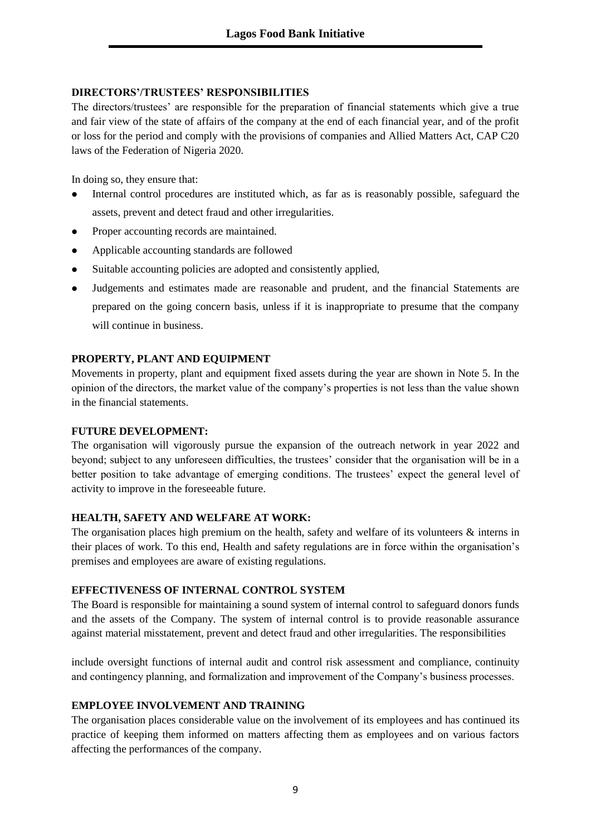#### **DIRECTORS'/TRUSTEES' RESPONSIBILITIES**

The directors/trustees' are responsible for the preparation of financial statements which give a true and fair view of the state of affairs of the company at the end of each financial year, and of the profit or loss for the period and comply with the provisions of companies and Allied Matters Act, CAP C20 laws of the Federation of Nigeria 2020.

In doing so, they ensure that:

- ⚫ Internal control procedures are instituted which, as far as is reasonably possible, safeguard the assets, prevent and detect fraud and other irregularities.
- ⚫ Proper accounting records are maintained.
- ⚫ Applicable accounting standards are followed
- ⚫ Suitable accounting policies are adopted and consistently applied,
- ⚫ Judgements and estimates made are reasonable and prudent, and the financial Statements are prepared on the going concern basis, unless if it is inappropriate to presume that the company will continue in business.

#### **PROPERTY, PLANT AND EQUIPMENT**

Movements in property, plant and equipment fixed assets during the year are shown in Note 5. In the opinion of the directors, the market value of the company's properties is not less than the value shown in the financial statements.

#### **FUTURE DEVELOPMENT:**

The organisation will vigorously pursue the expansion of the outreach network in year 2022 and beyond; subject to any unforeseen difficulties, the trustees' consider that the organisation will be in a better position to take advantage of emerging conditions. The trustees' expect the general level of activity to improve in the foreseeable future.

#### **HEALTH, SAFETY AND WELFARE AT WORK:**

The organisation places high premium on the health, safety and welfare of its volunteers  $\&$  interns in their places of work. To this end, Health and safety regulations are in force within the organisation's premises and employees are aware of existing regulations.

#### **EFFECTIVENESS OF INTERNAL CONTROL SYSTEM**

The Board is responsible for maintaining a sound system of internal control to safeguard donors funds and the assets of the Company. The system of internal control is to provide reasonable assurance against material misstatement, prevent and detect fraud and other irregularities. The responsibilities

include oversight functions of internal audit and control risk assessment and compliance, continuity and contingency planning, and formalization and improvement of the Company's business processes.

# **EMPLOYEE INVOLVEMENT AND TRAINING**

The organisation places considerable value on the involvement of its employees and has continued its practice of keeping them informed on matters affecting them as employees and on various factors affecting the performances of the company.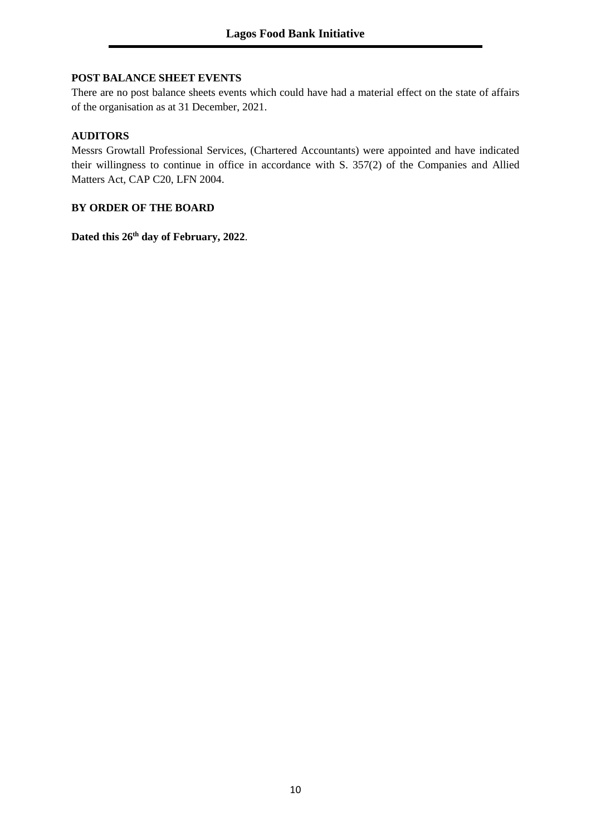# **POST BALANCE SHEET EVENTS**

There are no post balance sheets events which could have had a material effect on the state of affairs of the organisation as at 31 December, 2021.

#### **AUDITORS**

Messrs Growtall Professional Services, (Chartered Accountants) were appointed and have indicated their willingness to continue in office in accordance with S. 357(2) of the Companies and Allied Matters Act, CAP C20, LFN 2004.

#### **BY ORDER OF THE BOARD**

**Dated this 26th day of February, 2022**.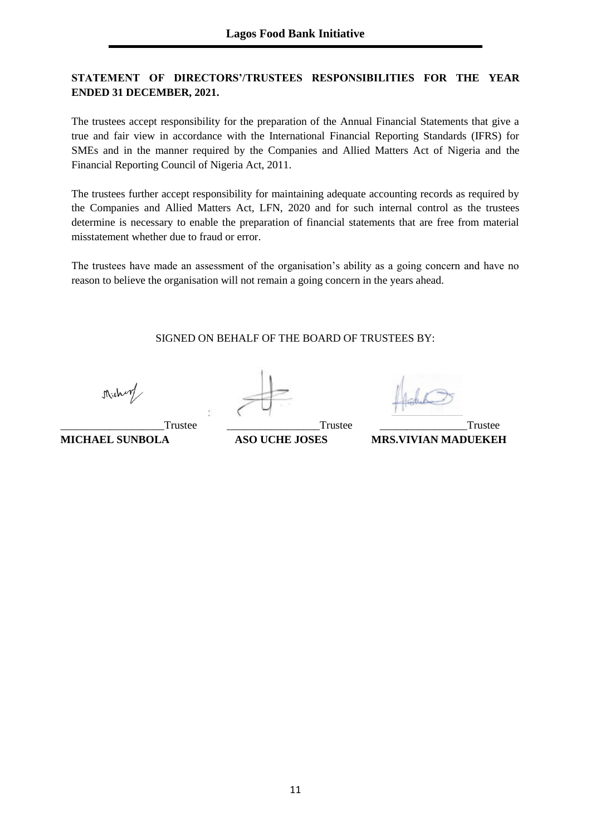# **STATEMENT OF DIRECTORS'/TRUSTEES RESPONSIBILITIES FOR THE YEAR ENDED 31 DECEMBER, 2021.**

The trustees accept responsibility for the preparation of the Annual Financial Statements that give a true and fair view in accordance with the International Financial Reporting Standards (IFRS) for SMEs and in the manner required by the Companies and Allied Matters Act of Nigeria and the Financial Reporting Council of Nigeria Act, 2011.

The trustees further accept responsibility for maintaining adequate accounting records as required by the Companies and Allied Matters Act, LFN, 2020 and for such internal control as the trustees determine is necessary to enable the preparation of financial statements that are free from material misstatement whether due to fraud or error.

The trustees have made an assessment of the organisation's ability as a going concern and have no reason to believe the organisation will not remain a going concern in the years ahead.

SIGNED ON BEHALF OF THE BOARD OF TRUSTEES BY:

Michary

\_\_\_\_\_\_\_\_\_\_\_\_\_\_\_\_\_\_\_Trustee \_\_\_\_\_\_\_\_\_\_\_\_\_\_\_\_\_Trustee \_\_\_\_\_\_\_\_\_\_\_\_\_\_\_\_Trustee **MICHAEL SUNBOLA ASO UCHE JOSES MRS.VIVIAN MADUEKEH**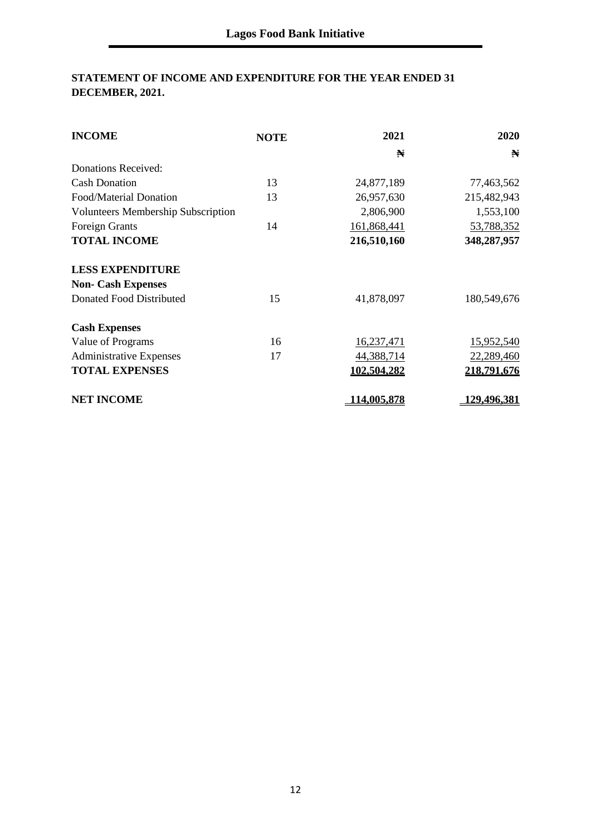# **STATEMENT OF INCOME AND EXPENDITURE FOR THE YEAR ENDED 31 DECEMBER, 2021.**

| <b>INCOME</b>                             | <b>NOTE</b> | 2021        | 2020               |
|-------------------------------------------|-------------|-------------|--------------------|
|                                           |             | N           | N                  |
| <b>Donations Received:</b>                |             |             |                    |
| <b>Cash Donation</b>                      | 13          | 24,877,189  | 77,463,562         |
| Food/Material Donation                    | 13          | 26,957,630  | 215,482,943        |
| <b>Volunteers Membership Subscription</b> |             | 2,806,900   | 1,553,100          |
| <b>Foreign Grants</b>                     | 14          | 161,868,441 | 53,788,352         |
| <b>TOTAL INCOME</b>                       |             | 216,510,160 | 348,287,957        |
| <b>LESS EXPENDITURE</b>                   |             |             |                    |
| <b>Non- Cash Expenses</b>                 |             |             |                    |
| Donated Food Distributed                  | 15          | 41,878,097  | 180,549,676        |
| <b>Cash Expenses</b>                      |             |             |                    |
| Value of Programs                         | 16          | 16,237,471  | 15,952,540         |
| <b>Administrative Expenses</b>            | 17          | 44,388,714  | 22,289,460         |
| <b>TOTAL EXPENSES</b>                     |             | 102.504.282 | 218,791,676        |
| <b>NET INCOME</b>                         |             | 114,005,878 | <u>129,496,381</u> |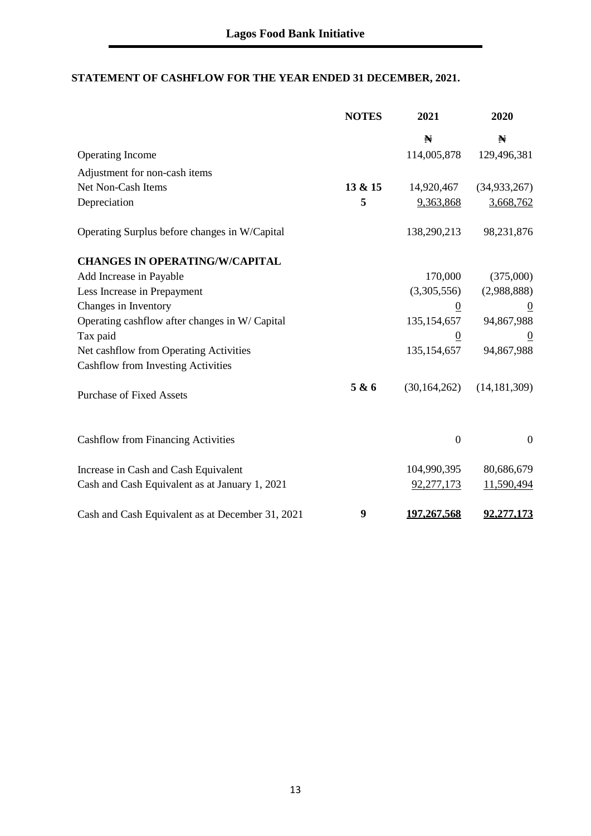# **STATEMENT OF CASHFLOW FOR THE YEAR ENDED 31 DECEMBER, 2021.**

|                                                  | <b>NOTES</b> | 2021           | 2020           |
|--------------------------------------------------|--------------|----------------|----------------|
|                                                  |              | N              | N              |
| <b>Operating Income</b>                          |              | 114,005,878    | 129,496,381    |
| Adjustment for non-cash items                    |              |                |                |
| Net Non-Cash Items                               | 13 & 15      | 14,920,467     | (34, 933, 267) |
| Depreciation                                     | 5            | 9,363,868      | 3,668,762      |
| Operating Surplus before changes in W/Capital    |              | 138,290,213    | 98,231,876     |
| <b>CHANGES IN OPERATING/W/CAPITAL</b>            |              |                |                |
| Add Increase in Payable                          |              | 170,000        | (375,000)      |
| Less Increase in Prepayment                      |              | (3,305,556)    | (2,988,888)    |
| Changes in Inventory                             |              | $\overline{0}$ | $\overline{0}$ |
| Operating cashflow after changes in W/Capital    |              | 135, 154, 657  | 94,867,988     |
| Tax paid                                         |              | $\overline{0}$ | $\theta$       |
| Net cashflow from Operating Activities           |              | 135, 154, 657  | 94,867,988     |
| <b>Cashflow from Investing Activities</b>        |              |                |                |
| <b>Purchase of Fixed Assets</b>                  | 5 & 6        | (30, 164, 262) | (14, 181, 309) |
| <b>Cashflow from Financing Activities</b>        |              | $\mathbf{0}$   | $\overline{0}$ |
| Increase in Cash and Cash Equivalent             |              | 104,990,395    | 80,686,679     |
| Cash and Cash Equivalent as at January 1, 2021   |              | 92,277,173     | 11,590,494     |
| Cash and Cash Equivalent as at December 31, 2021 | 9            | 197.267.568    | 92.277.173     |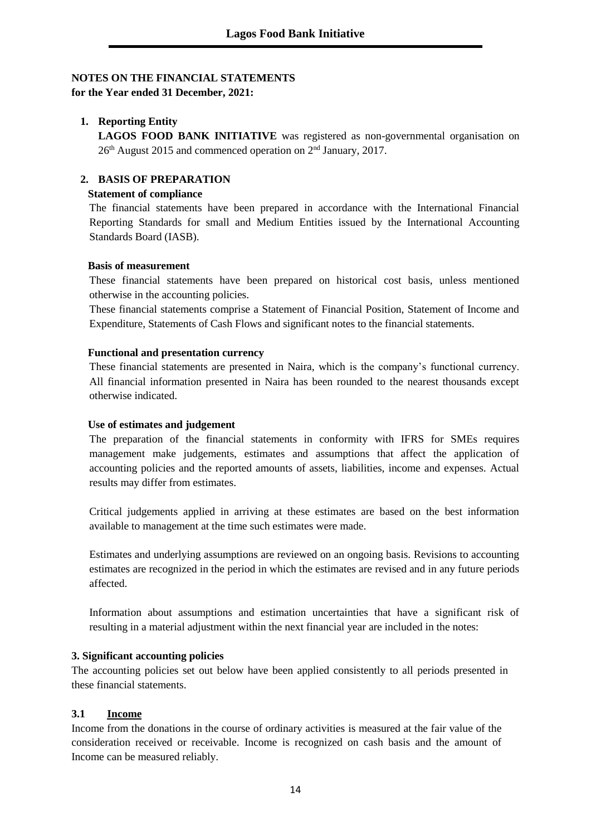# **NOTES ON THE FINANCIAL STATEMENTS**

**for the Year ended 31 December, 2021:**

# **1. Reporting Entity**

**LAGOS FOOD BANK INITIATIVE** was registered as non-governmental organisation on  $26<sup>th</sup>$  August 2015 and commenced operation on  $2<sup>nd</sup>$  January, 2017.

# **2. BASIS OF PREPARATION**

# **Statement of compliance**

The financial statements have been prepared in accordance with the International Financial Reporting Standards for small and Medium Entities issued by the International Accounting Standards Board (IASB).

#### **Basis of measurement**

These financial statements have been prepared on historical cost basis, unless mentioned otherwise in the accounting policies.

These financial statements comprise a Statement of Financial Position, Statement of Income and Expenditure, Statements of Cash Flows and significant notes to the financial statements.

# **Functional and presentation currency**

These financial statements are presented in Naira, which is the company's functional currency. All financial information presented in Naira has been rounded to the nearest thousands except otherwise indicated.

### **Use of estimates and judgement**

The preparation of the financial statements in conformity with IFRS for SMEs requires management make judgements, estimates and assumptions that affect the application of accounting policies and the reported amounts of assets, liabilities, income and expenses. Actual results may differ from estimates.

Critical judgements applied in arriving at these estimates are based on the best information available to management at the time such estimates were made.

Estimates and underlying assumptions are reviewed on an ongoing basis. Revisions to accounting estimates are recognized in the period in which the estimates are revised and in any future periods affected.

Information about assumptions and estimation uncertainties that have a significant risk of resulting in a material adjustment within the next financial year are included in the notes:

# **3. Significant accounting policies**

The accounting policies set out below have been applied consistently to all periods presented in these financial statements.

# **3.1 Income**

Income from the donations in the course of ordinary activities is measured at the fair value of the consideration received or receivable. Income is recognized on cash basis and the amount of Income can be measured reliably.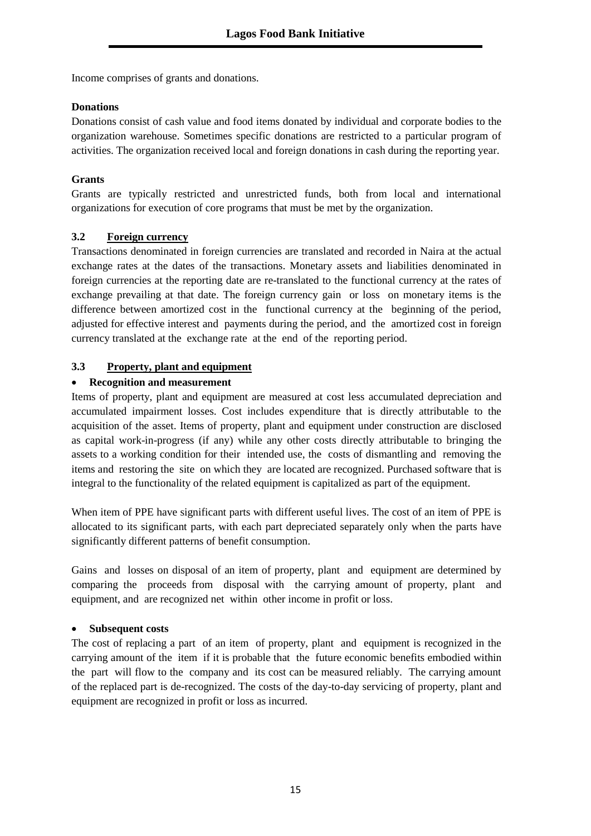Income comprises of grants and donations.

# **Donations**

Donations consist of cash value and food items donated by individual and corporate bodies to the organization warehouse. Sometimes specific donations are restricted to a particular program of activities. The organization received local and foreign donations in cash during the reporting year.

# **Grants**

Grants are typically restricted and unrestricted funds, both from local and international organizations for execution of core programs that must be met by the organization.

# **3.2 Foreign currency**

Transactions denominated in foreign currencies are translated and recorded in Naira at the actual exchange rates at the dates of the transactions. Monetary assets and liabilities denominated in foreign currencies at the reporting date are re-translated to the functional currency at the rates of exchange prevailing at that date. The foreign currency gain or loss on monetary items is the difference between amortized cost in the functional currency at the beginning of the period, adjusted for effective interest and payments during the period, and the amortized cost in foreign currency translated at the exchange rate at the end of the reporting period.

# **3.3 Property, plant and equipment**

# • **Recognition and measurement**

Items of property, plant and equipment are measured at cost less accumulated depreciation and accumulated impairment losses. Cost includes expenditure that is directly attributable to the acquisition of the asset. Items of property, plant and equipment under construction are disclosed as capital work-in-progress (if any) while any other costs directly attributable to bringing the assets to a working condition for their intended use, the costs of dismantling and removing the items and restoring the site on which they are located are recognized. Purchased software that is integral to the functionality of the related equipment is capitalized as part of the equipment.

When item of PPE have significant parts with different useful lives. The cost of an item of PPE is allocated to its significant parts, with each part depreciated separately only when the parts have significantly different patterns of benefit consumption.

Gains and losses on disposal of an item of property, plant and equipment are determined by comparing the proceeds from disposal with the carrying amount of property, plant and equipment, and are recognized net within other income in profit or loss.

# • **Subsequent costs**

The cost of replacing a part of an item of property, plant and equipment is recognized in the carrying amount of the item if it is probable that the future economic benefits embodied within the part will flow to the company and its cost can be measured reliably. The carrying amount of the replaced part is de-recognized. The costs of the day-to-day servicing of property, plant and equipment are recognized in profit or loss as incurred.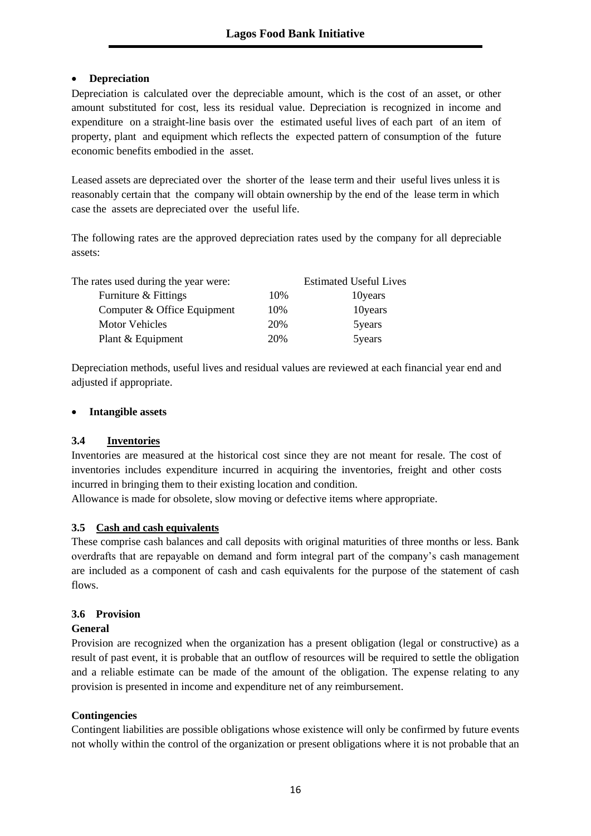# • **Depreciation**

Depreciation is calculated over the depreciable amount, which is the cost of an asset, or other amount substituted for cost, less its residual value. Depreciation is recognized in income and expenditure on a straight-line basis over the estimated useful lives of each part of an item of property, plant and equipment which reflects the expected pattern of consumption of the future economic benefits embodied in the asset.

Leased assets are depreciated over the shorter of the lease term and their useful lives unless it is reasonably certain that the company will obtain ownership by the end of the lease term in which case the assets are depreciated over the useful life.

The following rates are the approved depreciation rates used by the company for all depreciable assets:

| The rates used during the year were: |     | <b>Estimated Useful Lives</b> |
|--------------------------------------|-----|-------------------------------|
| Furniture & Fittings                 | 10% | 10 years                      |
| Computer & Office Equipment          | 10% | 10 years                      |
| <b>Motor Vehicles</b>                | 20% | 5years                        |
| Plant & Equipment                    | 20% | 5years                        |

Depreciation methods, useful lives and residual values are reviewed at each financial year end and adjusted if appropriate.

# • **Intangible assets**

# **3.4 Inventories**

Inventories are measured at the historical cost since they are not meant for resale. The cost of inventories includes expenditure incurred in acquiring the inventories, freight and other costs incurred in bringing them to their existing location and condition.

Allowance is made for obsolete, slow moving or defective items where appropriate.

# **3.5 Cash and cash equivalents**

These comprise cash balances and call deposits with original maturities of three months or less. Bank overdrafts that are repayable on demand and form integral part of the company's cash management are included as a component of cash and cash equivalents for the purpose of the statement of cash flows.

# **3.6 Provision**

# **General**

Provision are recognized when the organization has a present obligation (legal or constructive) as a result of past event, it is probable that an outflow of resources will be required to settle the obligation and a reliable estimate can be made of the amount of the obligation. The expense relating to any provision is presented in income and expenditure net of any reimbursement.

# **Contingencies**

Contingent liabilities are possible obligations whose existence will only be confirmed by future events not wholly within the control of the organization or present obligations where it is not probable that an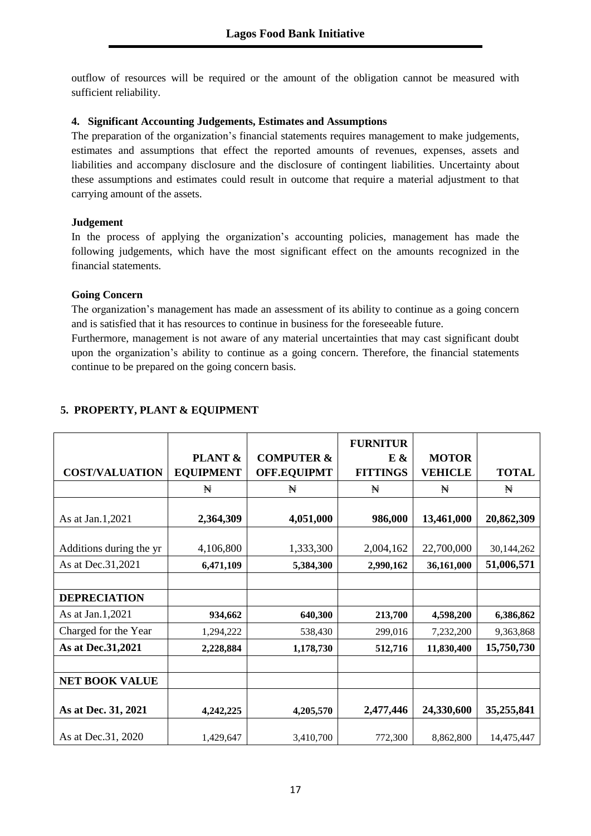outflow of resources will be required or the amount of the obligation cannot be measured with sufficient reliability.

# **4. Significant Accounting Judgements, Estimates and Assumptions**

The preparation of the organization's financial statements requires management to make judgements, estimates and assumptions that effect the reported amounts of revenues, expenses, assets and liabilities and accompany disclosure and the disclosure of contingent liabilities. Uncertainty about these assumptions and estimates could result in outcome that require a material adjustment to that carrying amount of the assets.

# **Judgement**

In the process of applying the organization's accounting policies, management has made the following judgements, which have the most significant effect on the amounts recognized in the financial statements.

# **Going Concern**

The organization's management has made an assessment of its ability to continue as a going concern and is satisfied that it has resources to continue in business for the foreseeable future.

Furthermore, management is not aware of any material uncertainties that may cast significant doubt upon the organization's ability to continue as a going concern. Therefore, the financial statements continue to be prepared on the going concern basis.

|                         | PLANT &          | <b>COMPUTER &amp;</b> | <b>FURNITUR</b><br>$E$ & | <b>MOTOR</b>   |              |
|-------------------------|------------------|-----------------------|--------------------------|----------------|--------------|
| <b>COST/VALUATION</b>   | <b>EQUIPMENT</b> | <b>OFF.EQUIPMT</b>    | <b>FITTINGS</b>          | <b>VEHICLE</b> | <b>TOTAL</b> |
|                         | ₩                | Ħ                     | ₩                        | ₩              | Ħ            |
| As at Jan.1,2021        | 2,364,309        | 4,051,000             | 986,000                  | 13,461,000     | 20,862,309   |
| Additions during the yr | 4,106,800        | 1,333,300             | 2,004,162                | 22,700,000     | 30,144,262   |
| As at Dec. 31, 2021     | 6,471,109        | 5,384,300             | 2,990,162                | 36,161,000     | 51,006,571   |
|                         |                  |                       |                          |                |              |
| <b>DEPRECIATION</b>     |                  |                       |                          |                |              |
| As at Jan.1,2021        | 934,662          | 640,300               | 213,700                  | 4,598,200      | 6,386,862    |
| Charged for the Year    | 1,294,222        | 538,430               | 299,016                  | 7,232,200      | 9,363,868    |
| As at Dec. 31, 2021     | 2,228,884        | 1,178,730             | 512,716                  | 11,830,400     | 15,750,730   |
|                         |                  |                       |                          |                |              |
| <b>NET BOOK VALUE</b>   |                  |                       |                          |                |              |
| As at Dec. 31, 2021     | 4,242,225        | 4,205,570             | 2,477,446                | 24,330,600     | 35,255,841   |
| As at Dec. 31, 2020     | 1,429,647        | 3,410,700             | 772,300                  | 8,862,800      | 14,475,447   |

# **5. PROPERTY, PLANT & EQUIPMENT**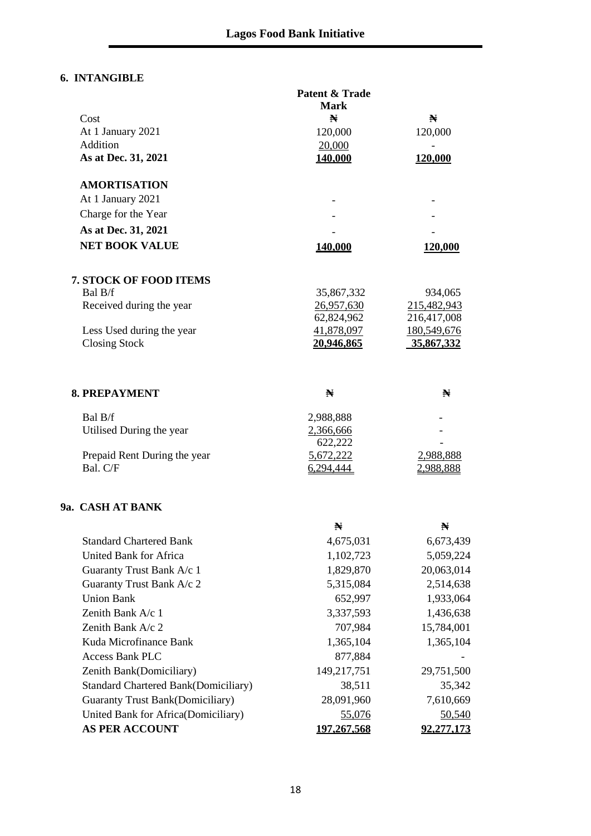# **6. INTANGIBLE**

|                                             | <b>Patent &amp; Trade</b><br><b>Mark</b> |                   |
|---------------------------------------------|------------------------------------------|-------------------|
| Cost                                        | N                                        | ₩                 |
| At 1 January 2021                           | 120,000                                  | 120,000           |
| Addition                                    | 20,000                                   |                   |
| As at Dec. 31, 2021                         | 140,000                                  | 120,000           |
| <b>AMORTISATION</b>                         |                                          |                   |
| At 1 January 2021                           |                                          |                   |
| Charge for the Year                         |                                          |                   |
| As at Dec. 31, 2021                         |                                          |                   |
| <b>NET BOOK VALUE</b>                       | 140.000                                  | 120,000           |
| <b>7. STOCK OF FOOD ITEMS</b>               |                                          |                   |
| Bal B/f                                     | 35,867,332                               | 934,065           |
| Received during the year                    | 26,957,630                               | 215,482,943       |
|                                             | 62,824,962                               | 216,417,008       |
| Less Used during the year                   | 41,878,097                               | 180,549,676       |
| <b>Closing Stock</b>                        | 20,946,865                               | 35,867,332        |
| <b>8. PREPAYMENT</b>                        | N                                        | N                 |
| Bal B/f                                     | 2,988,888                                |                   |
| Utilised During the year                    | 2,366,666                                |                   |
|                                             | 622,222                                  |                   |
| Prepaid Rent During the year                | 5,672,222                                | 2,988,888         |
| Bal. C/F                                    | 6,294,444                                | 2,988,888         |
| 9a. CASH AT BANK                            |                                          |                   |
|                                             | N                                        | N                 |
| <b>Standard Chartered Bank</b>              | 4,675,031                                | 6,673,439         |
| <b>United Bank for Africa</b>               | 1,102,723                                | 5,059,224         |
| Guaranty Trust Bank A/c 1                   | 1,829,870                                | 20,063,014        |
| Guaranty Trust Bank A/c 2                   | 5,315,084                                | 2,514,638         |
| <b>Union Bank</b>                           | 652,997                                  | 1,933,064         |
| Zenith Bank A/c 1                           | 3,337,593                                | 1,436,638         |
| Zenith Bank A/c 2                           | 707,984                                  | 15,784,001        |
| Kuda Microfinance Bank                      | 1,365,104                                | 1,365,104         |
| <b>Access Bank PLC</b>                      | 877,884                                  |                   |
| Zenith Bank(Domiciliary)                    | 149,217,751                              | 29,751,500        |
| <b>Standard Chartered Bank(Domiciliary)</b> | 38,511                                   | 35,342            |
| <b>Guaranty Trust Bank(Domiciliary)</b>     | 28,091,960                               | 7,610,669         |
| United Bank for Africa(Domiciliary)         | 55,076                                   | 50,540            |
| <b>AS PER ACCOUNT</b>                       | 197.267.568                              | <u>92.277.173</u> |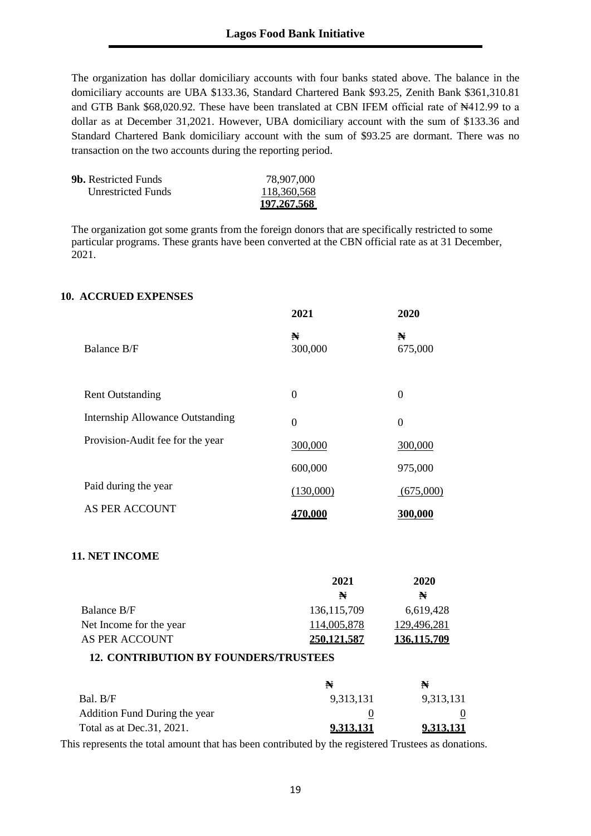The organization has dollar domiciliary accounts with four banks stated above. The balance in the domiciliary accounts are UBA \$133.36, Standard Chartered Bank \$93.25, Zenith Bank \$361,310.81 and GTB Bank \$68,020.92. These have been translated at CBN IFEM official rate of N412.99 to a dollar as at December 31,2021. However, UBA domiciliary account with the sum of \$133.36 and Standard Chartered Bank domiciliary account with the sum of \$93.25 are dormant. There was no transaction on the two accounts during the reporting period.

|                             | 197, 267, 568 |
|-----------------------------|---------------|
| Unrestricted Funds          | 118,360,568   |
| <b>9b.</b> Restricted Funds | 78,907,000    |

The organization got some grants from the foreign donors that are specifically restricted to some particular programs. These grants have been converted at the CBN official rate as at 31 December, 2021.

#### **10. ACCRUED EXPENSES**

|                                         | 2021         | 2020             |
|-----------------------------------------|--------------|------------------|
| Balance B/F                             | N<br>300,000 | ₩<br>675,000     |
| <b>Rent Outstanding</b>                 | $\theta$     | $\Omega$         |
| <b>Internship Allowance Outstanding</b> | $\theta$     | $\boldsymbol{0}$ |
| Provision-Audit fee for the year        | 300,000      | 300,000          |
|                                         | 600,000      | 975,000          |
| Paid during the year                    | (130,000)    | (675,000)        |
| AS PER ACCOUNT                          | 470.000      | 300,000          |

#### **11. NET INCOME**

|                         | 2021          | 2020        |
|-------------------------|---------------|-------------|
|                         | N             | ₩           |
| Balance B/F             | 136, 115, 709 | 6.619.428   |
| Net Income for the year | 114,005,878   | 129,496,281 |
| AS PER ACCOUNT          | 250, 121, 587 | 136,115,709 |

#### **12. CONTRIBUTION BY FOUNDERS/TRUSTEES**

|                               | ₩         | ₩         |
|-------------------------------|-----------|-----------|
| Bal. B/F                      | 9.313.131 | 9,313,131 |
| Addition Fund During the year |           |           |
| Total as at Dec. 31, 2021.    | 9.313.131 | 9.313.131 |

This represents the total amount that has been contributed by the registered Trustees as donations.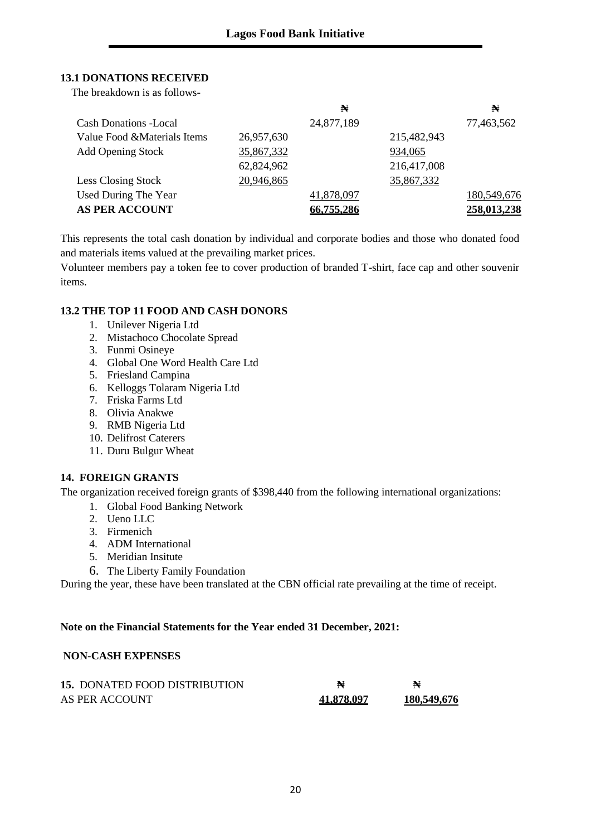# **13.1 DONATIONS RECEIVED**

The breakdown is as follows-

|                              |            | N          |             | N           |
|------------------------------|------------|------------|-------------|-------------|
| <b>Cash Donations -Local</b> |            | 24,877,189 |             | 77,463,562  |
| Value Food & Materials Items | 26,957,630 |            | 215,482,943 |             |
| <b>Add Opening Stock</b>     | 35,867,332 |            | 934,065     |             |
|                              | 62,824,962 |            | 216,417,008 |             |
| Less Closing Stock           | 20,946,865 |            | 35,867,332  |             |
| Used During The Year         |            | 41,878,097 |             | 180,549,676 |
| <b>AS PER ACCOUNT</b>        |            | 66.755.286 |             | 258,013,238 |

This represents the total cash donation by individual and corporate bodies and those who donated food and materials items valued at the prevailing market prices.

Volunteer members pay a token fee to cover production of branded T-shirt, face cap and other souvenir items.

# **13.2 THE TOP 11 FOOD AND CASH DONORS**

- 1. Unilever Nigeria Ltd
- 2. Mistachoco Chocolate Spread
- 3. Funmi Osineye
- 4. Global One Word Health Care Ltd
- 5. Friesland Campina
- 6. Kelloggs Tolaram Nigeria Ltd
- 7. Friska Farms Ltd
- 8. Olivia Anakwe
- 9. RMB Nigeria Ltd
- 10. Delifrost Caterers
- 11. Duru Bulgur Wheat

### **14. FOREIGN GRANTS**

The organization received foreign grants of \$398,440 from the following international organizations:

- 1. Global Food Banking Network
- 2. Ueno LLC
- 3. Firmenich
- 4. ADM International
- 5. Meridian Insitute
- 6. The Liberty Family Foundation

During the year, these have been translated at the CBN official rate prevailing at the time of receipt.

#### **Note on the Financial Statements for the Year ended 31 December, 2021:**

#### **NON-CASH EXPENSES**

| <b>15. DONATED FOOD DISTRIBUTION</b> |            |             |
|--------------------------------------|------------|-------------|
| AS PER ACCOUNT                       | 41,878,097 | 180,549,676 |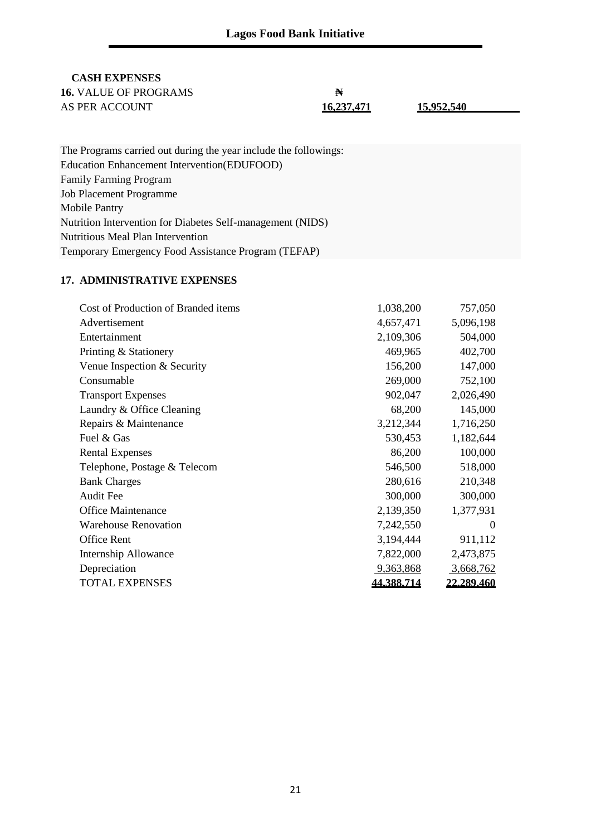# **CASH EXPENSES**

| <b>16.</b> VALUE OF PROGRAMS | ₩          |            |  |
|------------------------------|------------|------------|--|
| AS PER ACCOUNT               | 16.237.471 | 15.952.540 |  |
|                              |            |            |  |

| The Programs carried out during the year include the followings: |
|------------------------------------------------------------------|
| Education Enhancement Intervention (EDUFOOD)                     |
| <b>Family Farming Program</b>                                    |
| <b>Job Placement Programme</b>                                   |
| <b>Mobile Pantry</b>                                             |
| Nutrition Intervention for Diabetes Self-management (NIDS)       |
| Nutritious Meal Plan Intervention                                |
| Temporary Emergency Food Assistance Program (TEFAP)              |

# **17. ADMINISTRATIVE EXPENSES**

| Cost of Production of Branded items | 1,038,200  | 757,050           |
|-------------------------------------|------------|-------------------|
| Advertisement                       | 4,657,471  | 5,096,198         |
| Entertainment                       | 2,109,306  | 504,000           |
| Printing & Stationery               | 469,965    | 402,700           |
| Venue Inspection & Security         | 156,200    | 147,000           |
| Consumable                          | 269,000    | 752,100           |
| <b>Transport Expenses</b>           | 902,047    | 2,026,490         |
| Laundry & Office Cleaning           | 68,200     | 145,000           |
| Repairs & Maintenance               | 3,212,344  | 1,716,250         |
| Fuel & Gas                          | 530,453    | 1,182,644         |
| <b>Rental Expenses</b>              | 86,200     | 100,000           |
| Telephone, Postage & Telecom        | 546,500    | 518,000           |
| <b>Bank Charges</b>                 | 280,616    | 210,348           |
| Audit Fee                           | 300,000    | 300,000           |
| <b>Office Maintenance</b>           | 2,139,350  | 1,377,931         |
| <b>Warehouse Renovation</b>         | 7,242,550  | $\theta$          |
| Office Rent                         | 3,194,444  | 911,112           |
| Internship Allowance                | 7,822,000  | 2,473,875         |
| Depreciation                        | 9,363,868  | 3,668,762         |
| <b>TOTAL EXPENSES</b>               | 44.388.714 | <b>22.289.460</b> |